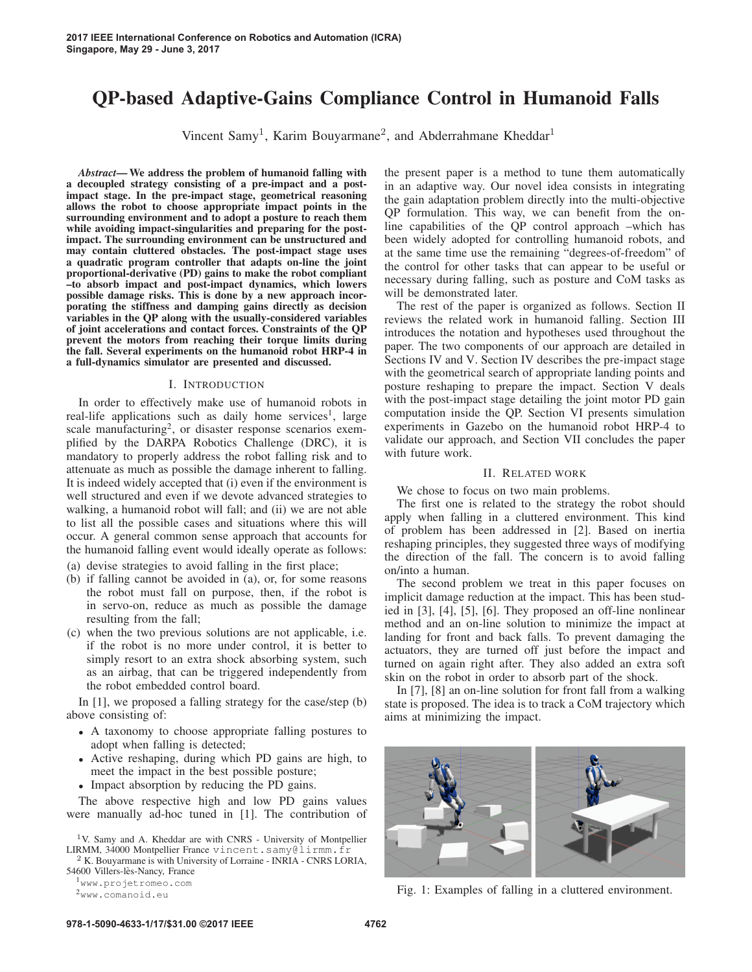# QP-based Adaptive-Gains Compliance Control in Humanoid Falls

Vincent Samy<sup>1</sup>, Karim Bouyarmane<sup>2</sup>, and Abderrahmane Kheddar<sup>1</sup>

*Abstract*— We address the problem of humanoid falling with a decoupled strategy consisting of a pre-impact and a postimpact stage. In the pre-impact stage, geometrical reasoning allows the robot to choose appropriate impact points in the surrounding environment and to adopt a posture to reach them while avoiding impact-singularities and preparing for the postimpact. The surrounding environment can be unstructured and may contain cluttered obstacles. The post-impact stage uses a quadratic program controller that adapts on-line the joint proportional-derivative (PD) gains to make the robot compliant –to absorb impact and post-impact dynamics, which lowers possible damage risks. This is done by a new approach incorporating the stiffness and damping gains directly as decision variables in the QP along with the usually-considered variables of joint accelerations and contact forces. Constraints of the QP prevent the motors from reaching their torque limits during the fall. Several experiments on the humanoid robot HRP-4 in a full-dynamics simulator are presented and discussed.

## I. INTRODUCTION

In order to effectively make use of humanoid robots in real-life applications such as daily home services<sup>1</sup>, large scale manufacturing<sup>2</sup>, or disaster response scenarios exemplified by the DARPA Robotics Challenge (DRC), it is mandatory to properly address the robot falling risk and to attenuate as much as possible the damage inherent to falling. It is indeed widely accepted that (i) even if the environment is well structured and even if we devote advanced strategies to walking, a humanoid robot will fall; and (ii) we are not able to list all the possible cases and situations where this will occur. A general common sense approach that accounts for the humanoid falling event would ideally operate as follows:

- (a) devise strategies to avoid falling in the first place;
- (b) if falling cannot be avoided in (a), or, for some reasons the robot must fall on purpose, then, if the robot is in servo-on, reduce as much as possible the damage resulting from the fall;
- (c) when the two previous solutions are not applicable, i.e. if the robot is no more under control, it is better to simply resort to an extra shock absorbing system, such as an airbag, that can be triggered independently from the robot embedded control board.

In [1], we proposed a falling strategy for the case/step (b) above consisting of:

- A taxonomy to choose appropriate falling postures to adopt when falling is detected;
- Active reshaping, during which PD gains are high, to meet the impact in the best possible posture;
- Impact absorption by reducing the PD gains.

The above respective high and low PD gains values were manually ad-hoc tuned in [1]. The contribution of

 $^1\rm{V.}$  Samy and A. Kheddar are with CNRS - University of Montpellier LIRMM, 34000 Montpellier France <code>vincent.samy@lirmm.fr</code>  $^2$  K. Bouyarmane is with University of Lorraine - INRIA - CNRS LORIA,

54600 Villers-lès-Nancy, France

<sup>1</sup>www.projetromeo.com

<sup>2</sup>www.comanoid.eu

the present paper is a method to tune them automatically in an adaptive way. Our novel idea consists in integrating the gain adaptation problem directly into the multi-objective QP formulation. This way, we can benefit from the online capabilities of the QP control approach –which has been widely adopted for controlling humanoid robots, and at the same time use the remaining "degrees-of-freedom" of the control for other tasks that can appear to be useful or necessary during falling, such as posture and CoM tasks as will be demonstrated later.

The rest of the paper is organized as follows. Section II reviews the related work in humanoid falling. Section III introduces the notation and hypotheses used throughout the paper. The two components of our approach are detailed in Sections IV and V. Section IV describes the pre-impact stage with the geometrical search of appropriate landing points and posture reshaping to prepare the impact. Section V deals with the post-impact stage detailing the joint motor PD gain computation inside the QP. Section VI presents simulation experiments in Gazebo on the humanoid robot HRP-4 to validate our approach, and Section VII concludes the paper with future work.

# II. RELATED WORK

We chose to focus on two main problems.

The first one is related to the strategy the robot should apply when falling in a cluttered environment. This kind of problem has been addressed in [2]. Based on inertia reshaping principles, they suggested three ways of modifying the direction of the fall. The concern is to avoid falling on/into a human.

The second problem we treat in this paper focuses on implicit damage reduction at the impact. This has been studied in [3], [4], [5], [6]. They proposed an off-line nonlinear method and an on-line solution to minimize the impact at landing for front and back falls. To prevent damaging the actuators, they are turned off just before the impact and turned on again right after. They also added an extra soft skin on the robot in order to absorb part of the shock.

In [7], [8] an on-line solution for front fall from a walking state is proposed. The idea is to track a CoM trajectory which aims at minimizing the impact.



Fig. 1: Examples of falling in a cluttered environment.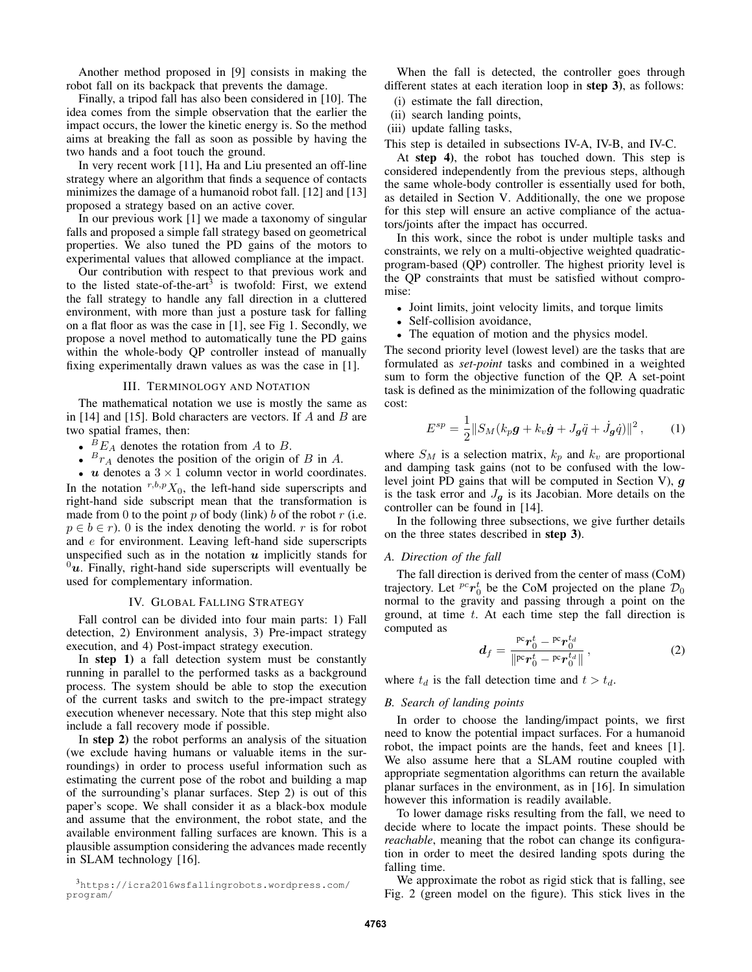Another method proposed in [9] consists in making the robot fall on its backpack that prevents the damage.

Finally, a tripod fall has also been considered in [10]. The idea comes from the simple observation that the earlier the impact occurs, the lower the kinetic energy is. So the method aims at breaking the fall as soon as possible by having the two hands and a foot touch the ground.

In very recent work [11], Ha and Liu presented an off-line strategy where an algorithm that finds a sequence of contacts minimizes the damage of a humanoid robot fall. [12] and [13] proposed a strategy based on an active cover.

In our previous work [1] we made a taxonomy of singular falls and proposed a simple fall strategy based on geometrical properties. We also tuned the PD gains of the motors to experimental values that allowed compliance at the impact.

Our contribution with respect to that previous work and to the listed state-of-the-art<sup>3</sup> is twofold: First, we extend the fall strategy to handle any fall direction in a cluttered environment, with more than just a posture task for falling on a flat floor as was the case in [1], see Fig 1. Secondly, we propose a novel method to automatically tune the PD gains within the whole-body QP controller instead of manually fixing experimentally drawn values as was the case in [1].

## III. TERMINOLOGY AND NOTATION

The mathematical notation we use is mostly the same as in [14] and [15]. Bold characters are vectors. If  $A$  and  $B$  are two spatial frames, then:

- ${}^B E_A$  denotes the rotation from A to B.
- $\bullet$   $\overline{B_{r_A}}$  denotes the position of the origin of B in A.

•  $u$  denotes a  $3 \times 1$  column vector in world coordinates. In the notation  $r, b, p, X_0$ , the left-hand side superscripts and right-hand side subscript mean that the transformation is made from 0 to the point p of body (link) b of the robot  $r$  (i.e.  $p \in b \in r$ ). 0 is the index denoting the world. r is for robot and e for environment. Leaving left-hand side superscripts unspecified such as in the notation *u* implicitly stands for  $^{0}u$ . Finally, right-hand side superscripts will eventually be used for complementary information.

#### IV. GLOBAL FALLING STRATEGY

Fall control can be divided into four main parts: 1) Fall detection, 2) Environment analysis, 3) Pre-impact strategy execution, and 4) Post-impact strategy execution.

In step 1) a fall detection system must be constantly running in parallel to the performed tasks as a background process. The system should be able to stop the execution of the current tasks and switch to the pre-impact strategy execution whenever necessary. Note that this step might also include a fall recovery mode if possible.

In step 2) the robot performs an analysis of the situation (we exclude having humans or valuable items in the surroundings) in order to process useful information such as estimating the current pose of the robot and building a map of the surrounding's planar surfaces. Step 2) is out of this paper's scope. We shall consider it as a black-box module and assume that the environment, the robot state, and the available environment falling surfaces are known. This is a plausible assumption considering the advances made recently in SLAM technology [16].

When the fall is detected, the controller goes through different states at each iteration loop in step 3), as follows:

- (i) estimate the fall direction,
- (ii) search landing points,
- (iii) update falling tasks,

This step is detailed in subsections IV-A, IV-B, and IV-C.

At step 4), the robot has touched down. This step is considered independently from the previous steps, although the same whole-body controller is essentially used for both, as detailed in Section V. Additionally, the one we propose for this step will ensure an active compliance of the actuators/joints after the impact has occurred.

In this work, since the robot is under multiple tasks and constraints, we rely on a multi-objective weighted quadraticprogram-based (QP) controller. The highest priority level is the QP constraints that must be satisfied without compromise:

- Joint limits, joint velocity limits, and torque limits
- Self-collision avoidance,
- The equation of motion and the physics model.

The second priority level (lowest level) are the tasks that are formulated as *set-point* tasks and combined in a weighted sum to form the objective function of the QP. A set-point task is defined as the minimization of the following quadratic cost:

$$
E^{sp} = \frac{1}{2} ||S_M(k_p \mathbf{g} + k_v \dot{\mathbf{g}} + J_g \ddot{q} + \dot{J}_g \dot{q})||^2, \qquad (1)
$$

where  $S_M$  is a selection matrix,  $k_p$  and  $k_v$  are proportional and damping task gains (not to be confused with the lowlevel joint PD gains that will be computed in Section V), *g* is the task error and  $J_q$  is its Jacobian. More details on the controller can be found in [14].

In the following three subsections, we give further details on the three states described in step 3).

### *A. Direction of the fall*

The fall direction is derived from the center of mass (CoM) trajectory. Let  ${}^{pc}r_0^t$  be the CoM projected on the plane  $\mathcal{D}_0$ normal to the gravity and passing through a point on the ground, at time  $t$ . At each time step the fall direction is computed as

$$
d_f = \frac{\text{pc}r_0^t - \text{pc}r_0^{t_d}}{\|\text{pc}r_0^t - \text{pc}r_0^{t_d}\|},
$$
 (2)

where  $t_d$  is the fall detection time and  $t > t_d$ .

## *B. Search of landing points*

In order to choose the landing/impact points, we first need to know the potential impact surfaces. For a humanoid robot, the impact points are the hands, feet and knees [1]. We also assume here that a SLAM routine coupled with appropriate segmentation algorithms can return the available planar surfaces in the environment, as in [16]. In simulation however this information is readily available.

To lower damage risks resulting from the fall, we need to decide where to locate the impact points. These should be *reachable*, meaning that the robot can change its configuration in order to meet the desired landing spots during the falling time.

We approximate the robot as rigid stick that is falling, see Fig. 2 (green model on the figure). This stick lives in the

<sup>3</sup>https://icra2016wsfallingrobots.wordpress.com/ program/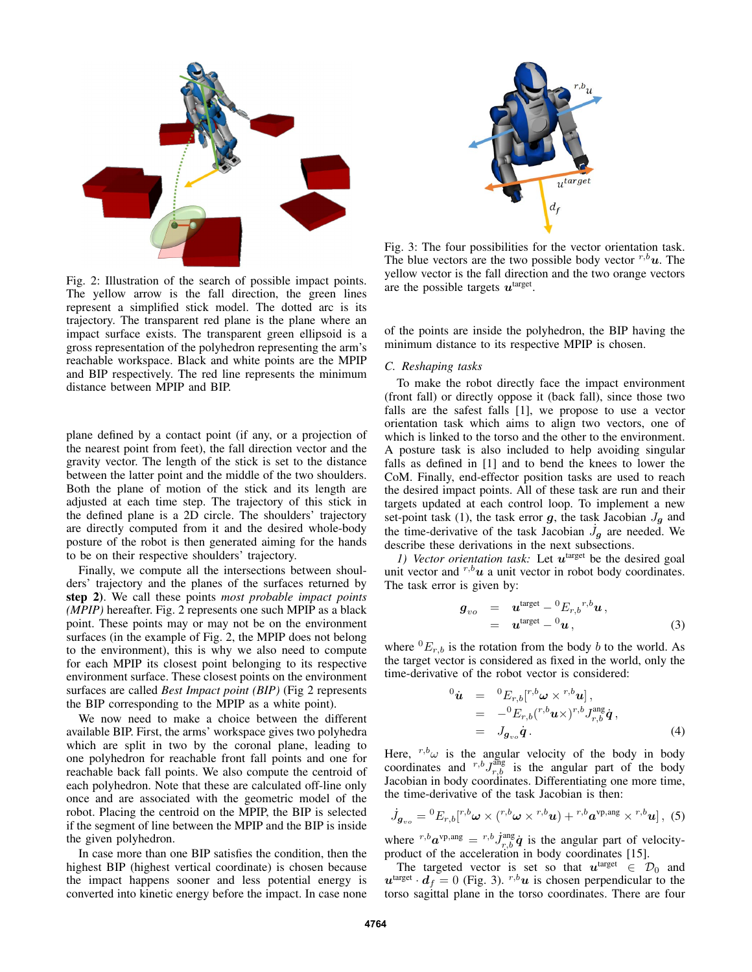

Fig. 2: Illustration of the search of possible impact points. The yellow arrow is the fall direction, the green lines represent a simplified stick model. The dotted arc is its trajectory. The transparent red plane is the plane where an impact surface exists. The transparent green ellipsoid is a gross representation of the polyhedron representing the arm's reachable workspace. Black and white points are the MPIP and BIP respectively. The red line represents the minimum distance between MPIP and BIP.

plane defined by a contact point (if any, or a projection of the nearest point from feet), the fall direction vector and the gravity vector. The length of the stick is set to the distance between the latter point and the middle of the two shoulders. Both the plane of motion of the stick and its length are adjusted at each time step. The trajectory of this stick in the defined plane is a 2D circle. The shoulders' trajectory are directly computed from it and the desired whole-body posture of the robot is then generated aiming for the hands to be on their respective shoulders' trajectory.

Finally, we compute all the intersections between shoulders' trajectory and the planes of the surfaces returned by step 2). We call these points *most probable impact points (MPIP)* hereafter. Fig. 2 represents one such MPIP as a black point. These points may or may not be on the environment surfaces (in the example of Fig. 2, the MPIP does not belong to the environment), this is why we also need to compute for each MPIP its closest point belonging to its respective environment surface. These closest points on the environment surfaces are called *Best Impact point (BIP)* (Fig 2 represents the BIP corresponding to the MPIP as a white point).

We now need to make a choice between the different available BIP. First, the arms' workspace gives two polyhedra which are split in two by the coronal plane, leading to one polyhedron for reachable front fall points and one for reachable back fall points. We also compute the centroid of each polyhedron. Note that these are calculated off-line only once and are associated with the geometric model of the robot. Placing the centroid on the MPIP, the BIP is selected if the segment of line between the MPIP and the BIP is inside the given polyhedron.

In case more than one BIP satisfies the condition, then the highest BIP (highest vertical coordinate) is chosen because the impact happens sooner and less potential energy is converted into kinetic energy before the impact. In case none



Fig. 3: The four possibilities for the vector orientation task. The blue vectors are the two possible body vector  $r, b\mathbf{u}$ . The yellow vector is the fall direction and the two orange vectors are the possible targets *u*target.

of the points are inside the polyhedron, the BIP having the minimum distance to its respective MPIP is chosen.

## *C. Reshaping tasks*

To make the robot directly face the impact environment (front fall) or directly oppose it (back fall), since those two falls are the safest falls [1], we propose to use a vector orientation task which aims to align two vectors, one of which is linked to the torso and the other to the environment. A posture task is also included to help avoiding singular falls as defined in [1] and to bend the knees to lower the CoM. Finally, end-effector position tasks are used to reach the desired impact points. All of these task are run and their targets updated at each control loop. To implement a new set-point task (1), the task error  $g$ , the task Jacobian  $J_g$  and the time-derivative of the task Jacobian  $\dot{J}_g$  are needed. We describe these derivations in the next subsections describe these derivations in the next subsections.

*1) Vector orientation task:* Let  $u^{\text{target}}$  be the desired goal unit vector and  $r, b\mathbf{u}$  a unit vector in robot body coordinates. The task error is given by:

$$
\begin{array}{rcl}\n\boldsymbol{g}_{vo} & = & \boldsymbol{u}^{\text{target}} - {}^{0}E_{r,b}{}^{r,b}\boldsymbol{u}\,, \\
& = & \boldsymbol{u}^{\text{target}} - {}^{0}\boldsymbol{u}\,,\n\end{array} \tag{3}
$$

where  ${}^{0}E_{r,b}$  is the rotation from the body b to the world. As the target vector is considered as fixed in the world, only the time-derivative of the robot vector is considered:

$$
\begin{array}{rcl}\n\hat{\mathbf{u}} & = & {}^{0}E_{r,b}[{}^{r,b}\boldsymbol{\omega} \times {}^{r,b}\boldsymbol{u}] \,, \\
& = & -{}^{0}E_{r,b}({}^{r,b}\boldsymbol{u} \times {})^{r,b}J_{r,b}^{\text{ang}}\dot{\mathbf{q}} \,, \\
& = & J_{\boldsymbol{g}_{vo}}\dot{\boldsymbol{q}} \,.\n\end{array} \tag{4}
$$

Here,  $r, b, \omega$  is the angular velocity of the body in body coordinates and  $^{r,b}J_{r,b}^{\text{ang}}$  is the angular part of the body Jacobian in body coordinates. Differentiating one more time, the time-derivative of the task Jacobian is then:

$$
\dot{J}_{\boldsymbol{g}_{vo}} = {}^{0}E_{r,b}[{}^{r,b}\boldsymbol{\omega}\times({}^{r,b}\boldsymbol{\omega}\times{}^{r,b}\boldsymbol{u})+{}^{r,b}\boldsymbol{a}^{\text{vp,ang}}\times{}^{r,b}\boldsymbol{u}]\,,\,\,(5)
$$

where  ${}^{r,b}a^{\text{vp,ang}} = {}^{r,b}\dot{J}^{\text{ang}}_{r,b}\dot{q}$  is the angular part of velocityproduct of the acceleration in body coordinates [15].

The targeted vector is set so that  $u^{\text{target}} \in \mathcal{D}_0$  and  $u^{\text{target}} \cdot d_f = 0$  (Fig. 3).  $r, b, u$  is chosen perpendicular to the torso sagittal plane in the torso coordinates. There are four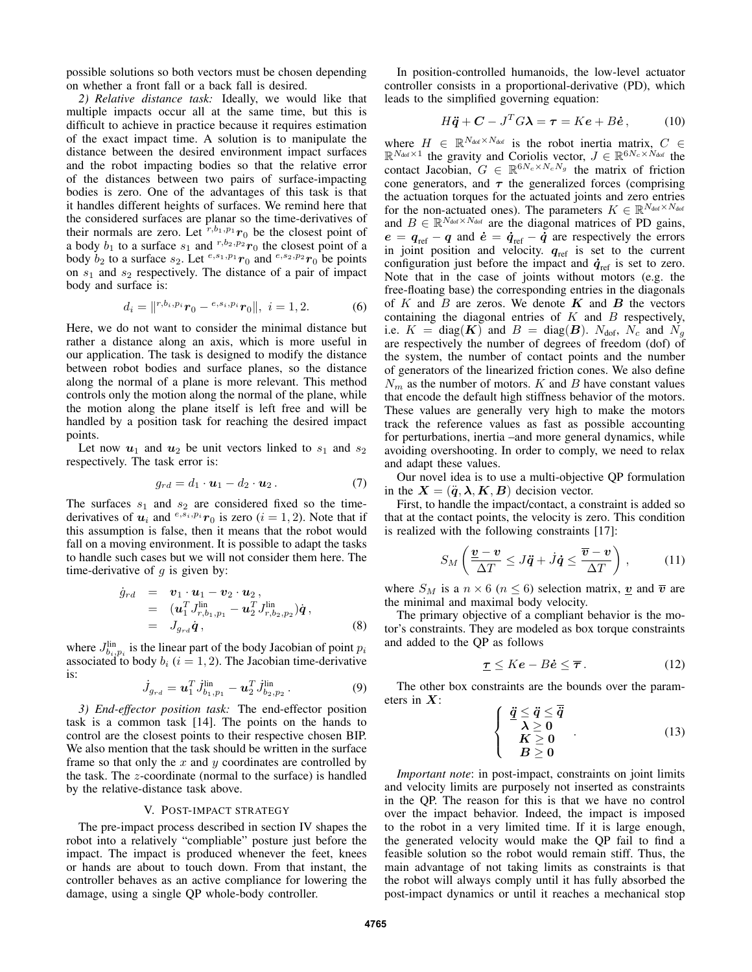possible solutions so both vectors must be chosen depending on whether a front fall or a back fall is desired.

*2) Relative distance task:* Ideally, we would like that multiple impacts occur all at the same time, but this is difficult to achieve in practice because it requires estimation of the exact impact time. A solution is to manipulate the distance between the desired environment impact surfaces and the robot impacting bodies so that the relative error of the distances between two pairs of surface-impacting bodies is zero. One of the advantages of this task is that it handles different heights of surfaces. We remind here that the considered surfaces are planar so the time-derivatives of their normals are zero. Let  $\overline{r}$ , $b_1$ , $p_1$ , $r_0$  be the closest point of a body  $b_1$  to a surface  $s_1$  and  $r, b_2, p_2$  *r*<sub>0</sub> the closest point of a body  $b_2$  to a surface  $s_2$ . Let  $e^{s_1,p_1}r_0$  and  $e^{s_2,p_2}r_0$  be points on  $s_1$  and  $s_2$  respectively. The distance of a pair of impact body and surface is:

$$
d_i = ||^{r, b_i, p_i} r_0 - {^{e, s_i, p_i} r_0}||, \ i = 1, 2.
$$
 (6)

Here, we do not want to consider the minimal distance but rather a distance along an axis, which is more useful in our application. The task is designed to modify the distance between robot bodies and surface planes, so the distance along the normal of a plane is more relevant. This method controls only the motion along the normal of the plane, while the motion along the plane itself is left free and will be handled by a position task for reaching the desired impact points.

Let now  $u_1$  and  $u_2$  be unit vectors linked to  $s_1$  and  $s_2$ respectively. The task error is:

$$
g_{rd} = d_1 \cdot \mathbf{u}_1 - d_2 \cdot \mathbf{u}_2. \tag{7}
$$

The surfaces  $s_1$  and  $s_2$  are considered fixed so the timederivatives of  $\mathbf{u}_i$  and  $e^{i\mathbf{S_i}, p_i}$  *r*<sub>0</sub> is zero (*i* = 1, 2). Note that if this assumption is false, then it means that the robot would fall on a moving environment. It is possible to adapt the tasks to handle such cases but we will not consider them here. The time-derivative of  $q$  is given by:

$$
\dot{g}_{rd} = \mathbf{v}_1 \cdot \mathbf{u}_1 - \mathbf{v}_2 \cdot \mathbf{u}_2, \n= (\mathbf{u}_1^T J_{r,b_1,p_1}^{\text{lin}} - \mathbf{u}_2^T J_{r,b_2,p_2}^{\text{lin}}) \dot{\mathbf{q}}, \n= J_{g_{rd}} \dot{\mathbf{q}},
$$
\n(8)

where  $J_{b_i,p_i}^{\text{lin}}$  is the linear part of the body Jacobian of point  $p_i$ associated to body  $b_i$  ( $i = 1, 2$ ). The Jacobian time-derivative is:

$$
\dot{J}_{g_{rd}} = \mathbf{u}_1^T \dot{J}_{b_1, p_1}^{\text{lin}} - \mathbf{u}_2^T \dot{J}_{b_2, p_2}^{\text{lin}}.
$$
 (9)

*3) End-effector position task:* The end-effector position task is a common task [14]. The points on the hands to control are the closest points to their respective chosen BIP. We also mention that the task should be written in the surface frame so that only the  $x$  and  $y$  coordinates are controlled by the task. The z-coordinate (normal to the surface) is handled by the relative-distance task above.

## V. POST-IMPACT STRATEGY

The pre-impact process described in section IV shapes the robot into a relatively "compliable" posture just before the impact. The impact is produced whenever the feet, knees or hands are about to touch down. From that instant, the controller behaves as an active compliance for lowering the damage, using a single QP whole-body controller.

In position-controlled humanoids, the low-level actuator controller consists in a proportional-derivative (PD), which leads to the simplified governing equation:

$$
H\ddot{\mathbf{q}} + \mathbf{C} - J^T G \mathbf{\lambda} = \boldsymbol{\tau} = K \boldsymbol{e} + B \dot{\boldsymbol{e}}, \qquad (10)
$$

where  $H \in \mathbb{R}^{N_{\text{dof}} \times N_{\text{dof}}}$  is the robot inertia matrix,  $C \in$  $\mathbb{R}^{N_{\text{dof}} \times 1}$  the gravity and Coriolis vector,  $J \in \mathbb{R}^{6N_c \times N_{\text{dof}}}$  the contact Jacobian,  $G \in \mathbb{R}^{6N_c \times N_cN_g}$  the matrix of friction cone generators, and  $\tau$  the generalized forces (comprising the actuation torques for the actuated joints and zero entries for the non-actuated ones). The parameters  $K \in \mathbb{R}^{N_{\text{dof}} \times N_{\text{dof}}}$ and  $B \in \mathbb{R}^{N_{\text{dof}} \times N_{\text{dof}}}$  are the diagonal matrices of PD gains,  $e = q_{ref} - q$  and  $\dot{e} = \dot{q}_{ref} - \dot{q}$  are respectively the errors in joint position and velocity.  $q_{ref}$  is set to the current configuration just before the impact and  $\dot{q}_{ref}$  is set to zero. Note that in the case of joints without motors (e.g. the free-floating base) the corresponding entries in the diagonals of  $K$  and  $B$  are zeros. We denote  $K$  and  $B$  the vectors containing the diagonal entries of  $K$  and  $B$  respectively, i.e.  $K = diag(K)$  and  $B = diag(B)$ .  $N_{\text{dof}}$ ,  $N_c$  and  $N_g$ are respectively the number of degrees of freedom (dof) of the system, the number of contact points and the number of generators of the linearized friction cones. We also define  $N_m$  as the number of motors. K and B have constant values that encode the default high stiffness behavior of the motors. These values are generally very high to make the motors track the reference values as fast as possible accounting for perturbations, inertia –and more general dynamics, while avoiding overshooting. In order to comply, we need to relax and adapt these values.

Our novel idea is to use a multi-objective QP formulation in the  $X = (\ddot{q}, \lambda, K, B)$  decision vector.

First, to handle the impact/contact, a constraint is added so that at the contact points, the velocity is zero. This condition is realized with the following constraints [17]:

$$
S_M\left(\frac{\underline{\boldsymbol{v}}-\boldsymbol{v}}{\Delta T}\leq J\ddot{\boldsymbol{q}}+\dot{J}\dot{\boldsymbol{q}}\leq\frac{\overline{\boldsymbol{v}}-\boldsymbol{v}}{\Delta T}\right),\qquad(11)
$$

where  $S_M$  is a  $n \times 6$  ( $n \leq 6$ ) selection matrix, *v* and  $\overline{v}$  are the minimal and maximal body velocity.

The primary objective of a compliant behavior is the motor's constraints. They are modeled as box torque constraints and added to the QP as follows

$$
\underline{\tau} \leq K e - B \dot{e} \leq \overline{\tau} \,. \tag{12}
$$

The other box constraints are the bounds over the parameters in *X*:

$$
\begin{cases} \n\frac{\ddot{q} \leq \ddot{q} \leq \ddot{q}}{\lambda \geq 0} \\
K \geq 0 \\
B \geq 0\n\end{cases}
$$
\n(13)

*Important note*: in post-impact, constraints on joint limits and velocity limits are purposely not inserted as constraints in the QP. The reason for this is that we have no control over the impact behavior. Indeed, the impact is imposed to the robot in a very limited time. If it is large enough, the generated velocity would make the QP fail to find a feasible solution so the robot would remain stiff. Thus, the main advantage of not taking limits as constraints is that the robot will always comply until it has fully absorbed the post-impact dynamics or until it reaches a mechanical stop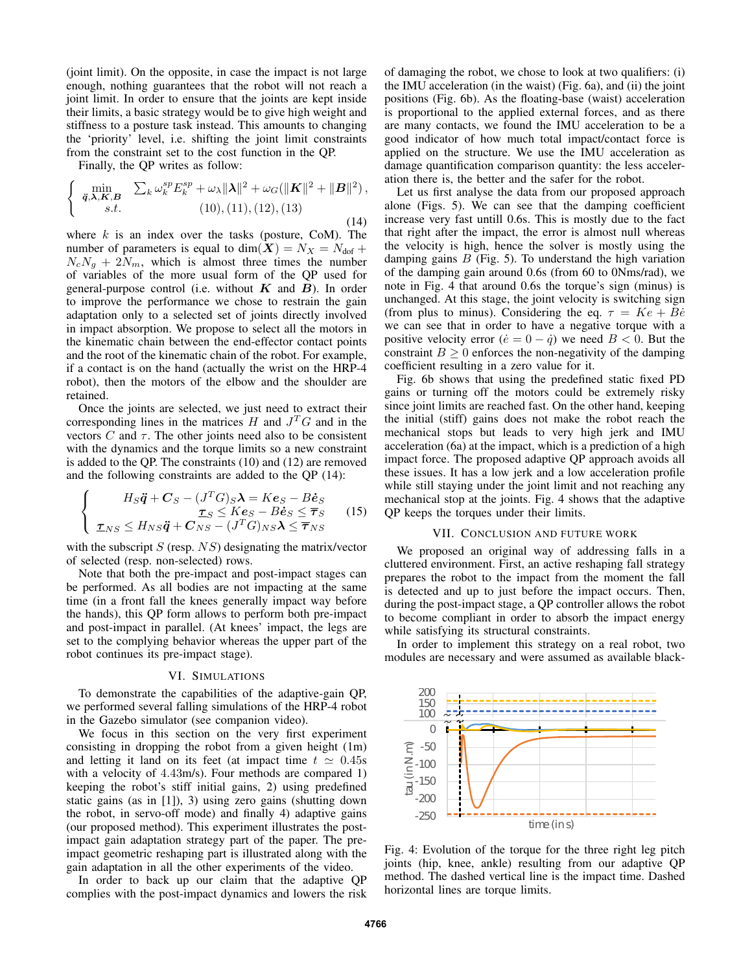(joint limit). On the opposite, in case the impact is not large enough, nothing guarantees that the robot will not reach a joint limit. In order to ensure that the joints are kept inside their limits, a basic strategy would be to give high weight and stiffness to a posture task instead. This amounts to changing the 'priority' level, i.e. shifting the joint limit constraints from the constraint set to the cost function in the QP.

Finally, the QP writes as follow:

$$
\begin{cases} \min_{\mathbf{\ddot{q}}, \mathbf{\lambda}, \mathbf{K}, \mathbf{B}} & \sum_{k} \omega_{k}^{sp} E_{k}^{sp} + \omega_{\lambda} \|\mathbf{\lambda}\|^{2} + \omega_{G}(\|\mathbf{K}\|^{2} + \|\mathbf{B}\|^{2}), \\ s.t. & (10), (11), (12), (13) \end{cases} \tag{14}
$$

where  $k$  is an index over the tasks (posture, CoM). The number of parameters is equal to dim $(X) = N_X = N_{\text{dof}} +$  $N_cN_g + 2N_m$ , which is almost three times the number of variables of the more usual form of the QP used for general-purpose control (i.e. without  $K$  and  $B$ ). In order to improve the performance we chose to restrain the gain adaptation only to a selected set of joints directly involved in impact absorption. We propose to select all the motors in the kinematic chain between the end-effector contact points and the root of the kinematic chain of the robot. For example, if a contact is on the hand (actually the wrist on the HRP-4 robot), then the motors of the elbow and the shoulder are retained.

Once the joints are selected, we just need to extract their corresponding lines in the matrices  $H$  and  $J^T G$  and in the vectors  $C$  and  $\tau$ . The other joints need also to be consistent with the dynamics and the torque limits so a new constraint is added to the QP. The constraints (10) and (12) are removed and the following constraints are added to the QP (14):

$$
\begin{cases}\nH_S \ddot{\mathbf{q}} + \mathbf{C}_S - (J^T G)_S \mathbf{\lambda} = K \mathbf{e}_S - B \dot{\mathbf{e}}_S \\
\mathbf{\tau}_S \leq K \mathbf{e}_S - B \dot{\mathbf{e}}_S \leq \overline{\tau}_S \\
\mathbf{\tau}_{NS} \leq H_{NS} \ddot{\mathbf{q}} + \mathbf{C}_{NS} - (J^T G)_{NS} \mathbf{\lambda} \leq \overline{\tau}_{NS}\n\end{cases} (15)
$$

with the subscript  $S$  (resp.  $NS$ ) designating the matrix/vector of selected (resp. non-selected) rows.

Note that both the pre-impact and post-impact stages can be performed. As all bodies are not impacting at the same time (in a front fall the knees generally impact way before the hands), this QP form allows to perform both pre-impact and post-impact in parallel. (At knees' impact, the legs are set to the complying behavior whereas the upper part of the robot continues its pre-impact stage).

### VI. SIMULATIONS

To demonstrate the capabilities of the adaptive-gain QP, we performed several falling simulations of the HRP-4 robot in the Gazebo simulator (see companion video).

We focus in this section on the very first experiment consisting in dropping the robot from a given height (1m) and letting it land on its feet (at impact time  $t \approx 0.45s$ with a velocity of 4.43m/s). Four methods are compared 1) keeping the robot's stiff initial gains, 2) using predefined static gains (as in [1]), 3) using zero gains (shutting down the robot, in servo-off mode) and finally 4) adaptive gains (our proposed method). This experiment illustrates the postimpact gain adaptation strategy part of the paper. The preimpact geometric reshaping part is illustrated along with the gain adaptation in all the other experiments of the video.

In order to back up our claim that the adaptive QP complies with the post-impact dynamics and lowers the risk of damaging the robot, we chose to look at two qualifiers: (i) the IMU acceleration (in the waist) (Fig. 6a), and (ii) the joint positions (Fig. 6b). As the floating-base (waist) acceleration is proportional to the applied external forces, and as there are many contacts, we found the IMU acceleration to be a good indicator of how much total impact/contact force is applied on the structure. We use the IMU acceleration as damage quantification comparison quantity: the less acceleration there is, the better and the safer for the robot.

Let us first analyse the data from our proposed approach alone (Figs. 5). We can see that the damping coefficient increase very fast untill 0.6s. This is mostly due to the fact that right after the impact, the error is almost null whereas the velocity is high, hence the solver is mostly using the damping gains  $B$  (Fig. 5). To understand the high variation of the damping gain around 0.6s (from 60 to 0Nms/rad), we note in Fig. 4 that around 0.6s the torque's sign (minus) is unchanged. At this stage, the joint velocity is switching sign (from plus to minus). Considering the eq.  $\tau = Ke + Be$ we can see that in order to have a negative torque with a positive velocity error ( $\dot{e} = 0 - \dot{q}$ ) we need  $B < 0$ . But the constraint  $B > 0$  enforces the non-negativity of the damping coefficient resulting in a zero value for it.

Fig. 6b shows that using the predefined static fixed PD gains or turning off the motors could be extremely risky since joint limits are reached fast. On the other hand, keeping the initial (stiff) gains does not make the robot reach the mechanical stops but leads to very high jerk and IMU acceleration (6a) at the impact, which is a prediction of a high impact force. The proposed adaptive QP approach avoids all these issues. It has a low jerk and a low acceleration profile while still staying under the joint limit and not reaching any mechanical stop at the joints. Fig. 4 shows that the adaptive QP keeps the torques under their limits.

## VII. CONCLUSION AND FUTURE WORK

We proposed an original way of addressing falls in a cluttered environment. First, an active reshaping fall strategy prepares the robot to the impact from the moment the fall is detected and up to just before the impact occurs. Then, during the post-impact stage, a QP controller allows the robot to become compliant in order to absorb the impact energy while satisfying its structural constraints.

In order to implement this strategy on a real robot, two modules are necessary and were assumed as available black-



Fig. 4: Evolution of the torque for the three right leg pitch joints (hip, knee, ankle) resulting from our adaptive QP method. The dashed vertical line is the impact time. Dashed horizontal lines are torque limits.